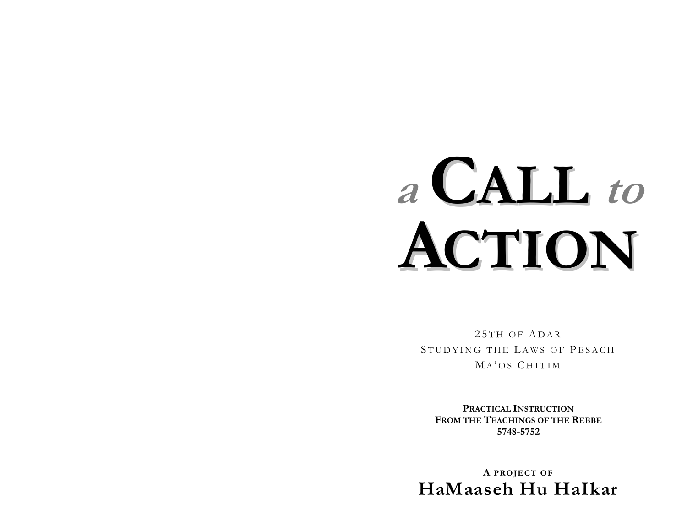# **CALL** to  $a^{\dagger}$ CTION

25TH OF ADAR STUDYING THE LAWS OF PESACH MA'OS CHITIM

PRACTICAL INSTRUCTION FROM THE TEACHINGS OF THE REBBE 5748-5752

A PROJECT OF HaMaaseh Hu Halkar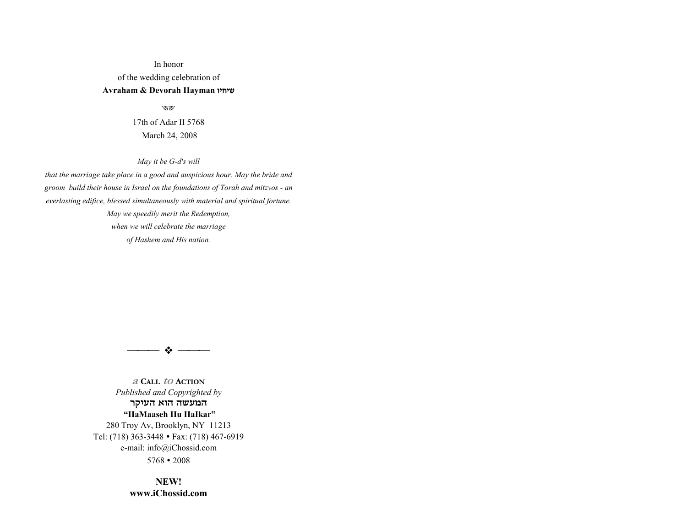### In honor of the wedding celebration of **Avraham & Devorah Hayman ¬»£»˘**

 $\mathcal{W}$ 

17th of Adar II 5768 March 24, 2008

*May it be G-d's will* 

*that the marriage take place in a good and auspicious hour. May the bride and groom build their house in Israel on the foundations of Torah and mitzvos - an everlasting edifice, blessed simultaneously with material and spiritual fortune. May we speedily merit the Redemption, when we will celebrate the marriage of Hashem and His nation.*



**a CALL to ACTION***Published and Copyrighted by*  המעשה הוא העיקר  **ìHaMaaseh Hu HaIkarî** 280 Troy Av, Brooklyn, NY 11213 Tel: (718) 363-3448 • Fax: (718) 467-6919 e-mail: info@iChossid.com

 $5768 \cdot 2008$ 

**NEW!www.iChossid.com**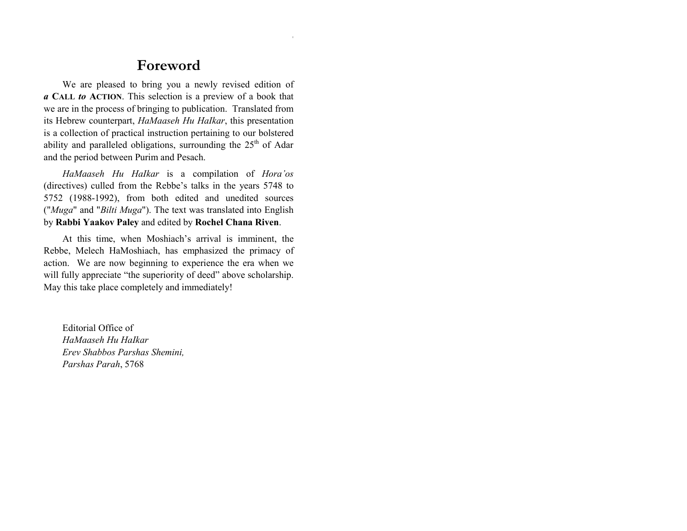## **Foreword**

We are pleased to bring you a newly revised edition of *a* **CALL** *to* **ACTION**. This selection is a preview of a book that we are in the process of bringing to publication. Translated from its Hebrew counterpart, *HaMaaseh Hu HaIkar*, this presentation is a collection of practical instruction pertaining to our bolstered ability and paralleled obligations, surrounding the  $25<sup>th</sup>$  of Adar and the period between Purim and Pesach.

*HaMaaseh Hu HaIkar* is a compilation of *Horaíos* (directives) culled from the Rebbe's talks in the years 5748 to 5752 (1988-1992), from both edited and unedited sources ("*Muga*" and "*Bilti Muga*"). The text was translated into English by **Rabbi Yaakov Paley** and edited by **Rochel Chana Riven**.

At this time, when Moshiach's arrival is imminent, the Rebbe, Melech HaMoshiach, has emphasized the primacy of action. We are now beginning to experience the era when we will fully appreciate "the superiority of deed" above scholarship. May this take place completely and immediately!

Editorial Office of *HaMaaseh Hu HaIkar Erev Shabbos Parshas Shemini, Parshas Parah*, 5768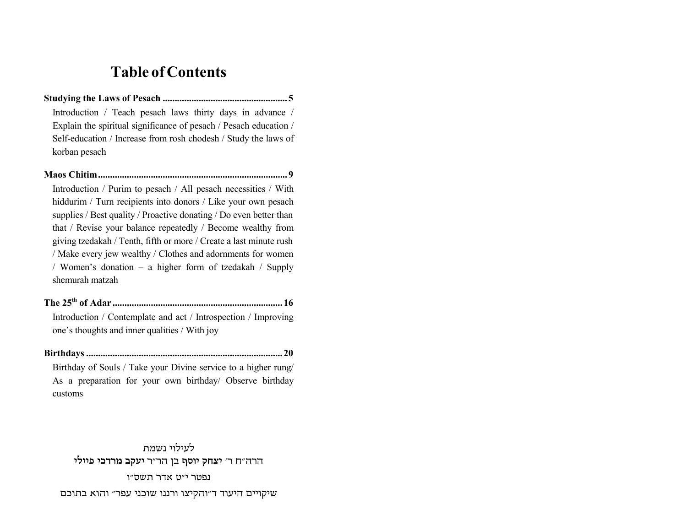## **Table of Contents**

Introduction / Teach pesach laws thirty days in advance / Explain the spiritual significance of pesach / Pesach education / Self-education / Increase from rosh chodesh / Study the laws of korban pesach

Introduction / Purim to pesach / All pesach necessities / With hiddurim / Turn recipients into donors / Like your own pesach supplies / Best quality / Proactive donating / Do even better than that / Revise your balance repeatedly / Become wealthy from giving tzedakah / Tenth, fifth or more / Create a last minute rush / Make every jew wealthy / Clothes and adornments for women / Women's donation – a higher form of tzedakah / Supply shemurah matzah

Introduction / Contemplate and act / Introspection / Improving one's thoughts and inner qualities / With joy

Birthday of Souls / Take your Divine service to a higher rung/ As a preparation for your own birthday/ Observe birthday customs

לעילוי נשמת הרה"ח ר' יצחק יוסף בן הר"ר יעקב מרדכי פיילי נפטר י״ט אדר תשס״ו שיקויים היעוד ד"והקיצו ורננו שוכני עפר" והוא בתוכם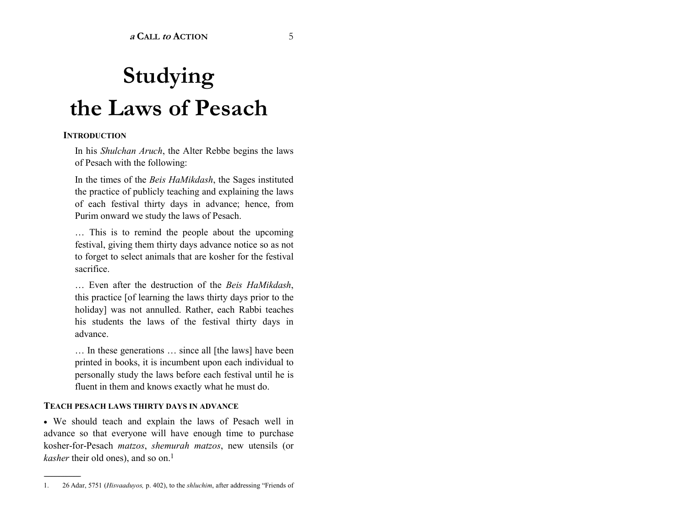# **Studying the Laws of Pesach**

#### **INTRODUCTION**

In his *Shulchan Aruch*, the Alter Rebbe begins the laws of Pesach with the following:

In the times of the *Beis HaMikdash*, the Sages instituted the practice of publicly teaching and explaining the laws of each festival thirty days in advance; hence, from Purim onward we study the laws of Pesach.

 $\ldots$  This is to remind the people about the upcoming festival, giving them thirty days advance notice so as not to forget to select animals that are kosher for the festival sacrifice.

Ö Even after the destruction of the *Beis HaMikdash*, this practice [of learning the laws thirty days prior to the holiday] was not annulled. Rather, each Rabbi teaches his students the laws of the festival thirty days in advance.

In these generations  $\ldots$  since all [the laws] have been printed in books, it is incumbent upon each individual to personally study the laws before each festival until he is fluent in them and knows exactly what he must do.

#### **TEACH PESACH LAWS THIRTY DAYS IN ADVANCE**

------------------------------------------------

• We should teach and explain the laws of Pesach well in advance so that everyone will have enough time to purchase kosher-for-Pesach *matzos*, *shemurah matzos*, new utensils (or *kasher* their old ones), and so on.<sup>1</sup>

<sup>1. 26</sup> Adar, 5751 (*Hisvaaduyos*, p. 402), to the *shluchim*, after addressing "Friends of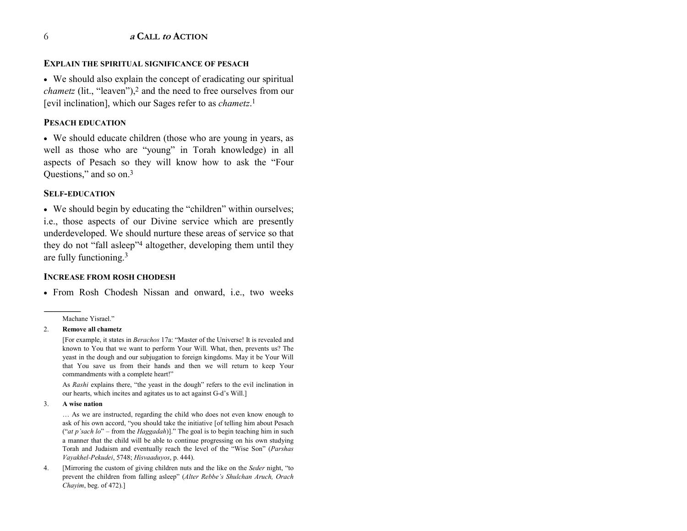#### **EXPLAIN THE SPIRITUAL SIGNIFICANCE OF PESACH**

• We should also explain the concept of eradicating our spiritual *chametz* (lit., "leaven"),<sup>2</sup> and the need to free ourselves from our [evil inclination], which our Sages refer to as *chametz*.<sup>1</sup>

#### **PESACH EDUCATION**

• We should educate children (those who are young in years, as well as those who are "young" in Torah knowledge) in all aspects of Pesach so they will know how to ask the "Four Questions," and so on.<sup>3</sup>

#### **SELF-EDUCATION**

• We should begin by educating the "children" within ourselves; i.e., those aspects of our Divine service which are presently underdeveloped. We should nurture these areas of service so that they do not "fall asleep"<sup>4</sup> altogether, developing them until they are fully functioning.<sup>3</sup>

#### **INCREASE FROM ROSH CHODESH**

• From Rosh Chodesh Nissan and onward, i.e., two weeks

Machane Yisrael"

#### $\overline{2}$ . Remove all chametz

[For example, it states in Berachos 17a: "Master of the Universe! It is revealed and known to You that we want to perform Your Will. What, then, prevents us? The yeast in the dough and our subjugation to foreign kingdoms. May it be Your Will that You save us from their hands and then we will return to keep Your commandments with a complete heart!"

As Rashi explains there, "the yeast in the dough" refers to the evil inclination in our hearts, which incites and agitates us to act against G-d's Will.]

#### $\overline{3}$ . A wise nation

... As we are instructed, regarding the child who does not even know enough to ask of his own accord, "you should take the initiative [of telling him about Pesach ("at p'sach lo" – from the Haggadah)]." The goal is to begin teaching him in such a manner that the child will be able to continue progressing on his own studying Torah and Judaism and eventually reach the level of the "Wise Son" (Parshas Vayakhel-Pekudei, 5748; Hisvaaduyos, p. 444).

[Mirroring the custom of giving children nuts and the like on the Seder night, "to 4. prevent the children from falling asleep" (Alter Rebbe's Shulchan Aruch, Orach Chayim, beg. of  $472$ ).]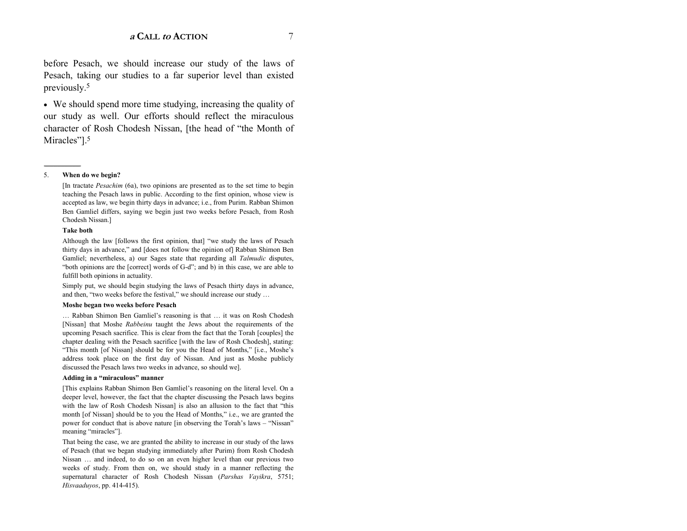before Pesach, we should increase our study of the laws of Pesach, taking our studies to a far superior level than existed previously.5

• We should spend more time studying, increasing the quality of our study as well. Our efforts should reflect the miraculous character of Rosh Chodesh Nissan, [the head of "the Month of Miracles<sup> $n$ 1.5</sup>

#### 5. **When do we begin?**

------------------------------------------------

[In tractate *Pesachim* (6a), two opinions are presented as to the set time to begin teaching the Pesach laws in public. According to the first opinion, whose view is accepted as law, we begin thirty days in advance; i.e., from Purim. Rabban Shimon Ben Gamliel differs, saying we begin just two weeks before Pesach, from Rosh Chodesh Nissan.]

#### **Take both**

Although the law [follows the first opinion, that] "we study the laws of Pesach thirty days in advance," and [does not follow the opinion of] Rabban Shimon Ben Gamliel; nevertheless, a) our Sages state that regarding all *Talmudic* disputes, "both opinions are the [correct] words of G-d"; and b) in this case, we are able to fulfill both opinions in actuality.

 Simply put, we should begin studying the laws of Pesach thirty days in advance, and then, "two weeks before the festival," we should increase our study ...

#### **Moshe began two weeks before Pesach**

... Rabban Shimon Ben Gamliel's reasoning is that ... it was on Rosh Chodesh [Nissan] that Moshe *Rabbeinu* taught the Jews about the requirements of the upcoming Pesach sacrifice. This is clear from the fact that the Torah [couples] the chapter dealing with the Pesach sacrifice [with the law of Rosh Chodesh], stating: "This month [of Nissan] should be for you the Head of Months," [i.e., Moshe's address took place on the first day of Nissan. And just as Moshe publicly discussed the Pesach laws two weeks in advance, so should we].

#### Adding in a "miraculous" manner

[This explains Rabban Shimon Ben Gamliel's reasoning on the literal level. On a deeper level, however, the fact that the chapter discussing the Pesach laws begins with the law of Rosh Chodesh Nissan] is also an allusion to the fact that "this month [of Nissan] should be to you the Head of Months," i.e., we are granted the power for conduct that is above nature [in observing the Torah's laws – "Nissan" meaning "miracles"].

That being the case, we are granted the ability to increase in our study of the laws of Pesach (that we began studying immediately after Purim) from Rosh Chodesh Nissan  $\ldots$  and indeed, to do so on an even higher level than our previous two weeks of study. From then on, we should study in a manner reflecting the supernatural character of Rosh Chodesh Nissan (*Parshas Vayikra*, 5751; *Hisvaaduyos*, pp. 414-415).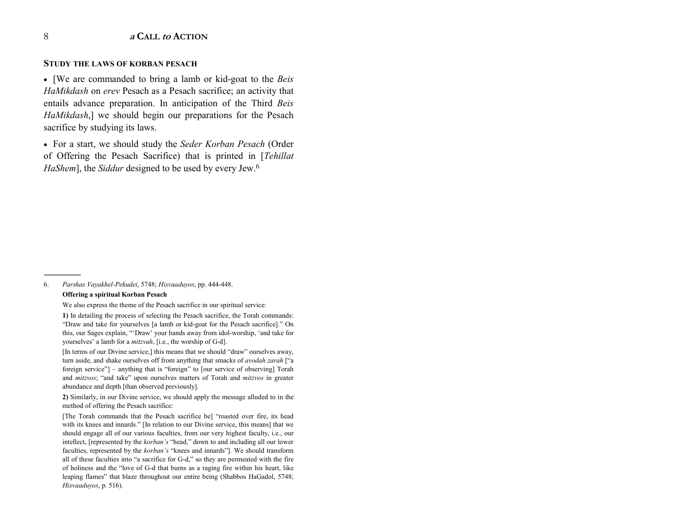#### **STUDY THE LAWS OF KORBAN PESACH**

• [We are commanded to bring a lamb or kid-goat to the *Beis HaMikdash* on *erev* Pesach as a Pesach sacrifice; an activity that entails advance preparation. In anticipation of the Third *Beis HaMikdash*,] we should begin our preparations for the Pesach sacrifice by studying its laws.

• For a start, we should study the *Seder Korban Pesach* (Order of Offering the Pesach Sacrifice) that is printed in [*Tehillat HaShem*], the *Siddur* designed to be used by every Jew.6

6. *Parshas Vayakhel-Pekudei*, 5748; *Hisvaaduyos*, pp. 444-448.

#### **Offering a spiritual Korban Pesach**

------------------------------------------------

We also express the theme of the Pesach sacrifice in our spiritual service:

**1)** In detailing the process of selecting the Pesach sacrifice, the Torah commands: "Draw and take for yourselves [a lamb or kid-goat for the Pesach sacrifice]." On this, our Sages explain, "'Draw' your hands away from idol-worship, 'and take for yourselves' a lamb for a *mitzvah*, [i.e., the worship of G-d].

[In terms of our Divine service,] this means that we should "draw" ourselves away, turn aside, and shake ourselves off from anything that smacks of *avodah zarah* [<sup>*ca*</sup> foreign service" $]$  – anything that is "foreign" to [our service of observing] Torah and *mitzvos*; "and take" upon ourselves matters of Torah and *mitzvos* in greater abundance and depth [than observed previously].

**2)** Similarly, in our Divine service, we should apply the message alluded to in the method of offering the Pesach sacrifice:

[The Torah commands that the Pesach sacrifice be] "roasted over fire, its head with its knees and innards." [In relation to our Divine service, this means] that we should engage all of our various faculties, from our very highest faculty, i.e., our intellect, [represented by the *korban's* "head," down to and including all our lower faculties, represented by the *korban's* "knees and innards"]. We should transform all of these faculties into "a sacrifice for G-d," so they are permeated with the fire of holiness and the "love of G-d that burns as a raging fire within his heart, like leaping flames" that blaze throughout our entire being (Shabbos HaGadol, 5748; *Hisvaaduyos*, p. 516).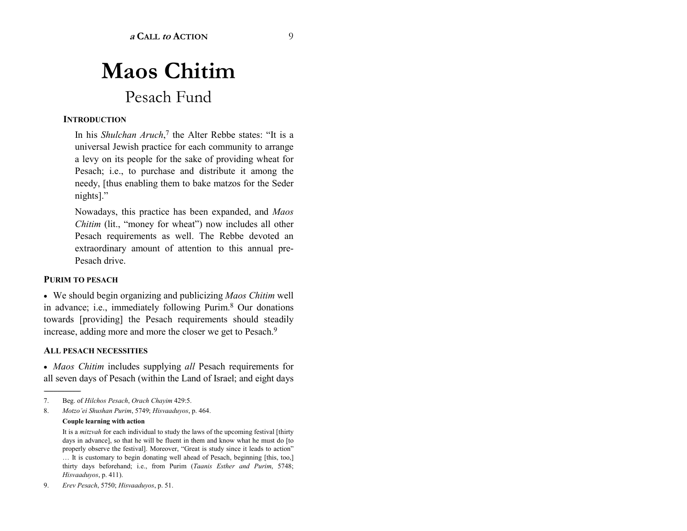# **Maos Chitim** Pesach Fund

#### **INTRODUCTION**

In his *Shulchan Aruch*,<sup>7</sup> the Alter Rebbe states: "It is a universal Jewish practice for each community to arrange a levy on its people for the sake of providing wheat for Pesach; i.e., to purchase and distribute it among the needy, [thus enabling them to bake matzos for the Seder  $nights$ ].<sup>?</sup>

Nowadays, this practice has been expanded, and *Maos Chitim* (lit., "money for wheat") now includes all other Pesach requirements as well. The Rebbe devoted an extraordinary amount of attention to this annual pre-Pesach drive.

#### **PURIM TO PESACH**

• We should begin organizing and publicizing *Maos Chitim* well in advance; i.e., immediately following Purim.8 Our donations towards [providing] the Pesach requirements should steadily increase, adding more and more the closer we get to Pesach.9

#### **ALL PESACH NECESSITIES**

• *Maos Chitim* includes supplying *all* Pesach requirements for all seven days of Pesach (within the Land of Israel; and eight days

#### **Couple learning with action**

<sup>7.</sup> Beg. of *Hilchos Pesach*, *Orach Chayim* 429:5.

<sup>8.</sup> *Motzoíei Shushan Purim*, 5749; *Hisvaaduyos*, p. 464.

It is a *mitzvah* for each individual to study the laws of the upcoming festival [thirty days in advance], so that he will be fluent in them and know what he must do [to properly observe the festival]. Moreover, "Great is study since it leads to action" It is customary to begin donating well ahead of Pesach, beginning [this, too,] thirty days beforehand; i.e., from Purim (*Taanis Esther and Purim*, 5748; *Hisvaaduyos*, p. 411).

<sup>9.</sup> *Erev Pesach*, 5750; *Hisvaaduyos*, p. 51.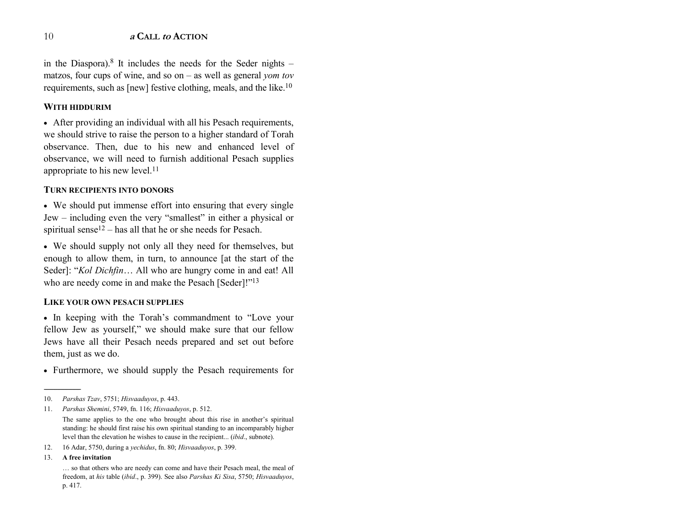in the Diaspora).<sup>8</sup> It includes the needs for the Seder nights  $$ matzos, four cups of wine, and so on  $-$  as well as general *yom tov* requirements, such as [new] festive clothing, meals, and the like.10

### **WITH HIDDURIM**

• After providing an individual with all his Pesach requirements, we should strive to raise the person to a higher standard of Torah observance. Then, due to his new and enhanced level of observance, we will need to furnish additional Pesach supplies appropriate to his new level.<sup>11</sup>

#### **TURN RECIPIENTS INTO DONORS**

• We should put immense effort into ensuring that every single Jew – including even the very "smallest" in either a physical or spiritual sense<sup>12</sup> – has all that he or she needs for Pesach.

• We should supply not only all they need for themselves, but enough to allow them, in turn, to announce [at the start of the Seder]: "*Kol Dichfin*... All who are hungry come in and eat! All who are needy come in and make the Pesach [Seder]!"<sup>13</sup>

#### **LIKE YOUR OWN PESACH SUPPLIES**

• In keeping with the Torah's commandment to "Love your fellow Jew as yourself," we should make sure that our fellow Jews have all their Pesach needs prepared and set out before them, just as we do.

• Furthermore, we should supply the Pesach requirements for

- 12. 16 Adar, 5750, during a *yechidus*, fn. 80; *Hisvaaduyos*, p. 399.
- $13.$ **free invitation**

------------------------------------------------

<sup>10.</sup> *Parshas Tzav*, 5751; *Hisvaaduyos*, p. 443.

<sup>11.</sup> *Parshas Shemini*, 5749, fn. 116; *Hisvaaduyos*, p. 512.

The same applies to the one who brought about this rise in another's spiritual standing: he should first raise his own spiritual standing to an incomparably higher level than the elevation he wishes to cause in the recipient... (*ibid*., subnote).

 $\ldots$  so that others who are needy can come and have their Pesach meal, the meal of freedom, at *his* table (*ibid*., p. 399). See also *Parshas Ki Sisa*, 5750; *Hisvaaduyos*, p. 417.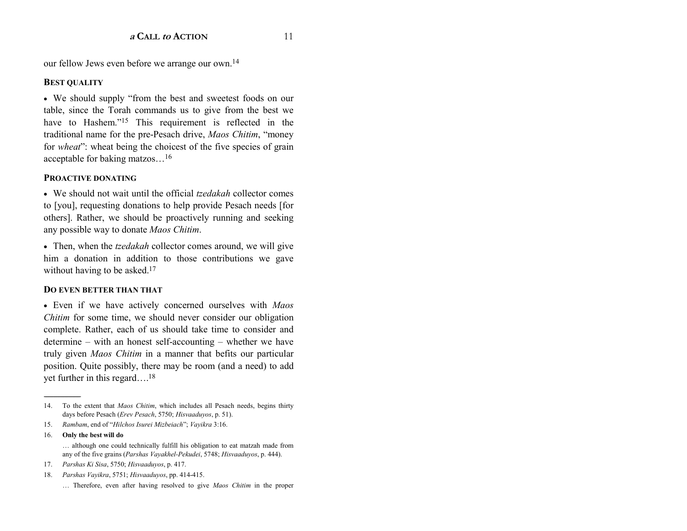our fellow Jews even before we arrange our own.<sup>14</sup>

### **BEST QUALITY**

• We should supply "from the best and sweetest foods on our table, since the Torah commands us to give from the best we have to Hashem."<sup>15</sup> This requirement is reflected in the traditional name for the pre-Pesach drive, Maos Chitim, "money for *wheat*": wheat being the choicest of the five species of grain acceptable for baking matzos...<sup>16</sup>

### **PROACTIVE DONATING**

• We should not wait until the official *tzedakah* collector comes to [you], requesting donations to help provide Pesach needs [for others]. Rather, we should be proactively running and seeking any possible way to donate Maos Chitim.

• Then, when the *tzedakah* collector comes around, we will give him a donation in addition to those contributions we gave without having to be asked. $17$ 

#### **DO EVEN BETTER THAN THAT**

• Even if we have actively concerned ourselves with Maos *Chitim* for some time, we should never consider our obligation complete. Rather, each of us should take time to consider and determine – with an honest self-accounting – whether we have truly given Maos Chitim in a manner that befits our particular position. Quite possibly, there may be room (and a need) to add yet further in this regard....<sup>18</sup>

16. Only the best will do ... although one could technically fulfill his obligation to eat matzah made from any of the five grains (Parshas Vayakhel-Pekudei, 5748; Hisvaaduyos, p. 444).

To the extent that Maos Chitim, which includes all Pesach needs, begins thirty  $14<sub>1</sub>$ days before Pesach (Erev Pesach, 5750; Hisvaaduyos, p. 51).

<sup>15.</sup> Rambam, end of "Hilchos Isurei Mizbeiach"; Vayikra 3:16.

<sup>17.</sup> Parshas Ki Sisa, 5750; Hisvaaduyos, p. 417.

Parshas Vayikra, 5751; Hisvaaduyos, pp. 414-415. 18.

<sup>...</sup> Therefore, even after having resolved to give Maos Chitim in the proper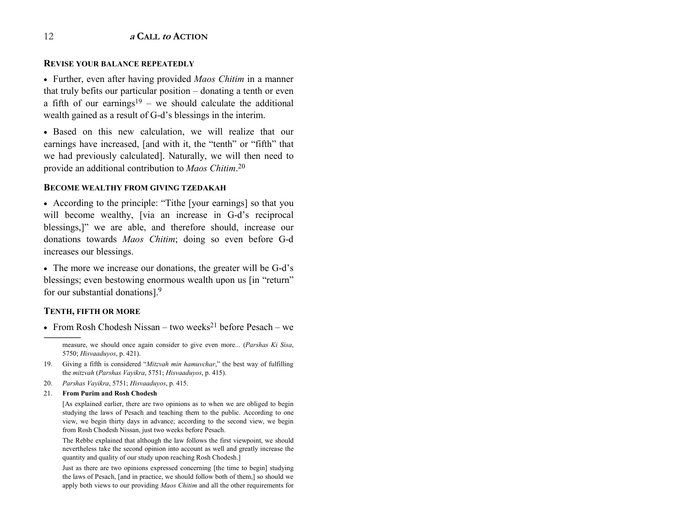#### **REVISE YOUR BALANCE REPEATEDLY**

• Further, even after having provided *Maos Chitim* in a manner that truly befits our particular position  $-$  donating a tenth or even a fifth of our earnings<sup>19</sup> – we should calculate the additional wealth gained as a result of G-d's blessings in the interim.

• Based on this new calculation, we will realize that our earnings have increased, [and with it, the "tenth" or "fifth" that we had previously calculated]. Naturally, we will then need to provide an additional contribution to *Maos Chitim*.<sup>20</sup>

#### **BECOME WEALTHY FROM GIVING TZEDAKAH**

• According to the principle: "Tithe [your earnings] so that you will become wealthy, [via an increase in G-d's reciprocal blessings,]" we are able, and therefore should, increase our donations towards *Maos Chitim*; doing so even before G-d increases our blessings.

• The more we increase our donations, the greater will be G-d's blessings; even bestowing enormous wealth upon us [in "return" for our substantial donations].<sup>9</sup>

### **TENTH, FIFTH OR MORE**

------------------------------------------------

• From Rosh Chodesh Nissan – two weeks<sup>21</sup> before Pesach – we

measure, we should once again consider to give even more... (*Parshas Ki Sisa*, 5750; *Hisvaaduyos*, p. 421).

- 19. Giving a fifth is considered "Mitzvah min hamuvchar," the best way of fulfilling the *mitzvah* (*Parshas Vayikra*, 5751; *Hisvaaduyos*, p. 415).
- 20. *Parshas Vayikra*, 5751; *Hisvaaduyos*, p. 415.

#### 21. **From Purim and Rosh Chodesh**

[As explained earlier, there are two opinions as to when we are obliged to begin studying the laws of Pesach and teaching them to the public. According to one view, we begin thirty days in advance; according to the second view, we begin from Rosh Chodesh Nissan, just two weeks before Pesach.

 The Rebbe explained that although the law follows the first viewpoint, we should nevertheless take the second opinion into account as well and greatly increase the quantity and quality of our study upon reaching Rosh Chodesh.]

Just as there are two opinions expressed concerning [the time to begin] studying the laws of Pesach, [and in practice, we should follow both of them,] so should we apply both views to our providing *Maos Chitim* and all the other requirements for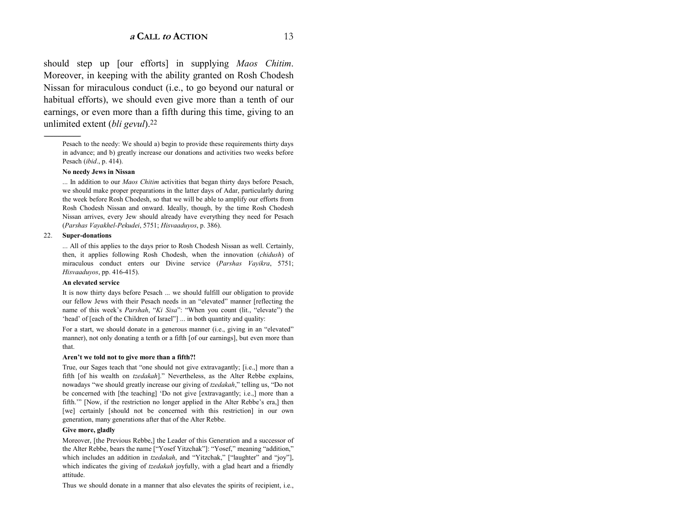should step up [our efforts] in supplying *Maos Chitim*. Moreover, in keeping with the ability granted on Rosh Chodesh Nissan for miraculous conduct (i.e., to go beyond our natural or habitual efforts), we should even give more than a tenth of our earnings, or even more than a fifth during this time, giving to an unlimited extent (*bli gevul*).22

#### **No needy Jews in Nissan**

... In addition to our *Maos Chitim* activities that began thirty days before Pesach, we should make proper preparations in the latter days of Adar, particularly during the week before Rosh Chodesh, so that we will be able to amplify our efforts from Rosh Chodesh Nissan and onward. Ideally, though, by the time Rosh Chodesh Nissan arrives, every Jew should already have everything they need for Pesach (*Parshas Vayakhel-Pekudei*, 5751; *Hisvaaduyos*, p. 386).

#### 22. **Super-donations**

... All of this applies to the days prior to Rosh Chodesh Nissan as well. Certainly, then, it applies following Rosh Chodesh, when the innovation (*chidush*) of miraculous conduct enters our Divine service (*Parshas Vayikra*, 5751; *Hisvaaduyos*, pp. 416-415).

#### **An elevated service**

It is now thirty days before Pesach ... we should fulfill our obligation to provide our fellow Jews with their Pesach needs in an "elevated" manner [reflecting the name of this week's *Parshah*, "Ki Sisa": "When you count (lit., "elevate") the 'head' of [each of the Children of Israel''] ... in both quantity and quality:

For a start, we should donate in a generous manner (i.e., giving in an "elevated" manner), not only donating a tenth or a fifth [of our earnings], but even more than that.

#### Aren't we told not to give more than a fifth?!

True, our Sages teach that "one should not give extravagantly; [i.e.,] more than a fifth [of his wealth on *tzedakah*]." Nevertheless, as the Alter Rebbe explains, nowadays "we should greatly increase our giving of *tzedakah*," telling us, "Do not be concerned with [the teaching] 'Do not give [extravagantly; i.e.,] more than a fifth." [Now, if the restriction no longer applied in the Alter Rebbe's era,] then [we] certainly [should not be concerned with this restriction] in our own generation, many generations after that of the Alter Rebbe.

#### **Give more, gladly**

Moreover, [the Previous Rebbe,] the Leader of this Generation and a successor of the Alter Rebbe, bears the name ["Yosef Yitzchak"]: "Yosef," meaning "addition," which includes an addition in *tzedakah*, and "Yitzchak," ["laughter" and "joy"], which indicates the giving of *tzedakah* joyfully, with a glad heart and a friendly attitude.

Thus we should donate in a manner that also elevates the spirits of recipient, i.e.,

Pesach to the needy: We should a) begin to provide these requirements thirty days in advance; and b) greatly increase our donations and activities two weeks before Pesach (*ibid*., p. 414).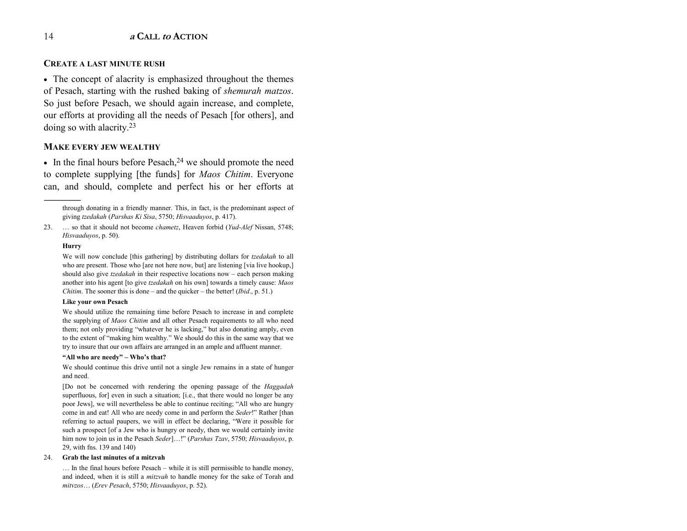#### **CREATE A LAST MINUTE RUSH**

• The concept of alacrity is emphasized throughout the themes of Pesach, starting with the rushed baking of *shemurah matzos*. So just before Pesach, we should again increase, and complete, our efforts at providing all the needs of Pesach [for others], and doing so with alacrity.23

#### **MAKE EVERY JEW WEALTHY**

• In the final hours before Pesach,  $24$  we should promote the need to complete supplying [the funds] for *Maos Chitim*. Everyone can, and should, complete and perfect his or her efforts at

through donating in a friendly manner. This, in fact, is the predominant aspect of giving *tzedakah* (*Parshas Ki Sisa*, 5750; *Hisvaaduyos*, p. 417).

23.  $\ldots$  so that it should not become *chametz*, Heaven forbid (*Yud-Alef* Nissan, 5748; *Hisvaaduyos*, p. 50).

#### **Hurry**

------------------------------------------------

We will now conclude [this gathering] by distributing dollars for *tzedakah* to all who are present. Those who [are not here now, but] are listening [via live hookup,] should also give *tzedakah* in their respective locations now – each person making another into his agent [to give *tzedakah* on his own] towards a timely cause: *Maos Chitim*. The sooner this is done – and the quicker – the better! (*Ibid.*, p. 51.)

#### **Like your own Pesach**

We should utilize the remaining time before Pesach to increase in and complete the supplying of *Maos Chitim* and all other Pesach requirements to all who need them; not only providing "whatever he is lacking," but also donating amply, even to the extent of "making him wealthy." We should do this in the same way that we try to insure that our own affairs are arranged in an ample and affluent manner.

#### "All who are needy" - Who's that?

We should continue this drive until not a single Jew remains in a state of hunger and need.

[Do not be concerned with rendering the opening passage of the *Haggadah* superfluous, for] even in such a situation; [i.e., that there would no longer be any poor Jews], we will nevertheless be able to continue reciting; "All who are hungry come in and eat! All who are needy come in and perform the *Seder*!" Rather [than referring to actual paupers, we will in effect be declaring, "Were it possible for such a prospect [of a Jew who is hungry or needy, then we would certainly invite him now to join us in the Pesach *Seder*]...!" (*Parshas Tzav*, 5750; *Hisvaaduyos*, p. 29, with fns. 139 and 140)

#### 24. **Grab the last minutes of a mitzvah**

 $\ldots$  In the final hours before Pesach – while it is still permissible to handle money, and indeed, when it is still a *mitzvah* to handle money for the sake of Torah and *mitvzos*Ö (*Erev Pesach*, 5750; *Hisvaaduyos*, p. 52).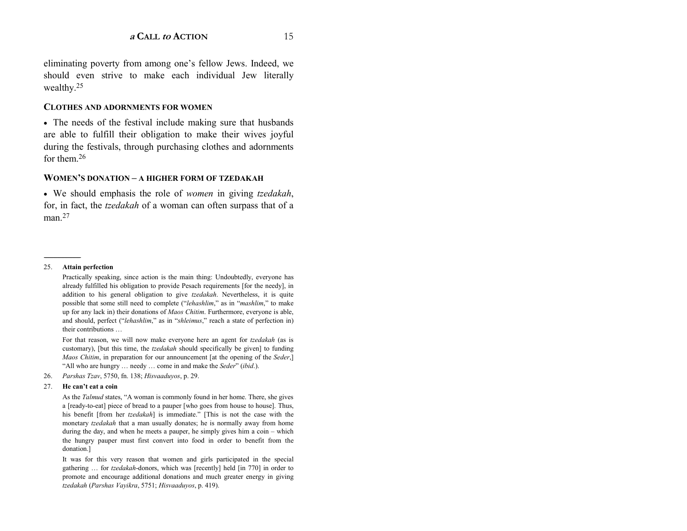eliminating poverty from among one's fellow Jews. Indeed, we should even strive to make each individual Jew literally wealthy.25

#### **CLOTHES AND ADORNMENTS FOR WOMEN**

• The needs of the festival include making sure that husbands are able to fulfill their obligation to make their wives joyful during the festivals, through purchasing clothes and adornments for them 26

#### **WOMEN'S DONATION – A HIGHER FORM OF TZEDAKAH**

• We should emphasis the role of *women* in giving *tzedakah*, for, in fact, the *tzedakah* of a woman can often surpass that of a man.<sup>27</sup>

#### 25. **Attain perfection**

------------------------------------------------

Practically speaking, since action is the main thing: Undoubtedly, everyone has already fulfilled his obligation to provide Pesach requirements [for the needy], in addition to his general obligation to give *tzedakah*. Nevertheless, it is quite possible that some still need to complete ("*lehashlim*," as in "*mashlim*," to make up for any lack in) their donations of *Maos Chitim*. Furthermore, everyone is able, and should, perfect ("*lehashlim*," as in "*shleimus*," reach a state of perfection in) their contributions ...

For that reason, we will now make everyone here an agent for *tzedakah* (as is customary), [but this time, the *tzedakah* should specifically be given] to funding *Maos Chitim*, in preparation for our announcement [at the opening of the *Seder*,] "All who are hungry  $\ldots$  needy  $\ldots$  come in and make the *Seder*" *(ibid.).* 

26. *Parshas Tzav*, 5750, fn. 138; *Hisvaaduyos*, p. 29.

#### 27. **He canít eat a coin**

As the *Talmud* states, "A woman is commonly found in her home. There, she gives a [ready-to-eat] piece of bread to a pauper [who goes from house to house]. Thus, his benefit [from her *tzedakah*] is immediate." [This is not the case with the monetary *tzedakah* that a man usually donates; he is normally away from home during the day, and when he meets a pauper, he simply gives him a coin  $-$  which the hungry pauper must first convert into food in order to benefit from the donation.]

 It was for this very reason that women and girls participated in the special gathering  $\ldots$  for *tzedakah*-donors, which was [recently] held [in 770] in order to promote and encourage additional donations and much greater energy in giving *tzedakah* (*Parshas Vayikra*, 5751; *Hisvaaduyos*, p. 419).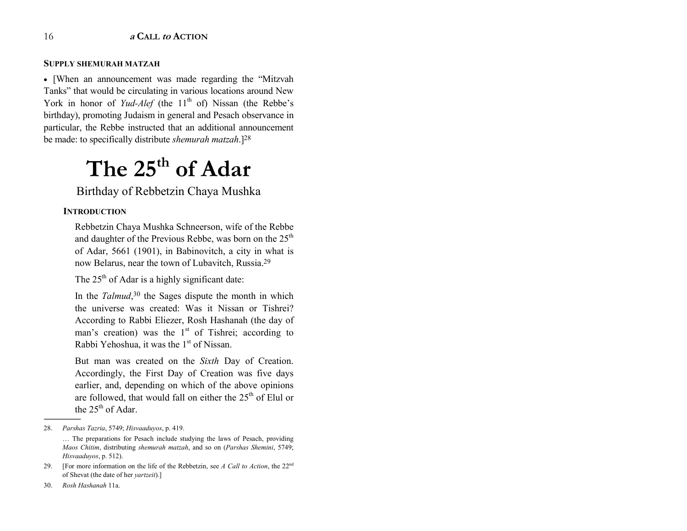#### **SUPPLY SHEMURAH MATZAH**

• [When an announcement was made regarding the "Mitzvah" Tanks" that would be circulating in various locations around New York in honor of *Yud-Alef* (the 11<sup>th</sup> of) Nissan (the Rebbe's birthday), promoting Judaism in general and Pesach observance in particular, the Rebbe instructed that an additional announcement be made: to specifically distribute *shemurah matzah*.]28

# The 25<sup>th</sup> of Adar

Birthday of Rebbetzin Chaya Mushka

#### **INTRODUCTION**

Rebbetzin Chaya Mushka Schneerson, wife of the Rebbe and daughter of the Previous Rebbe, was born on the  $25<sup>th</sup>$ of Adar, 5661 (1901), in Babinovitch, a city in what is now Belarus, near the town of Lubavitch, Russia.29

The  $25<sup>th</sup>$  of Adar is a highly significant date:

In the *Talmud*<sup>30</sup>, the Sages dispute the month in which the universe was created: Was it Nissan or Tishrei? According to Rabbi Eliezer, Rosh Hashanah (the day of man's creation) was the  $1<sup>st</sup>$  of Tishrei; according to Rabbi Yehoshua, it was the 1<sup>st</sup> of Nissan.

But man was created on the *Sixth* Day of Creation. Accordingly, the First Day of Creation was five days earlier, and, depending on which of the above opinions are followed, that would fall on either the  $25<sup>th</sup>$  of Elul or the  $25^{th}$  of Adar.

------------------------------------------------

<sup>28.</sup> *Parshas Tazria*, 5749; *Hisvaaduyos*, p. 419. ... The preparations for Pesach include studying the laws of Pesach, providing *Maos Chitim*, distributing *shemurah matzah*, and so on (*Parshas Shemini*, 5749; *Hisvaaduyos*, p. 512).

<sup>29. [</sup>For more information on the life of the Rebbetzin, see *A Call to Action*, the 22n<sup>d</sup> of Shevat (the date of her *yartzeit*).]

<sup>30.</sup> *Rosh Hashanah* 11a.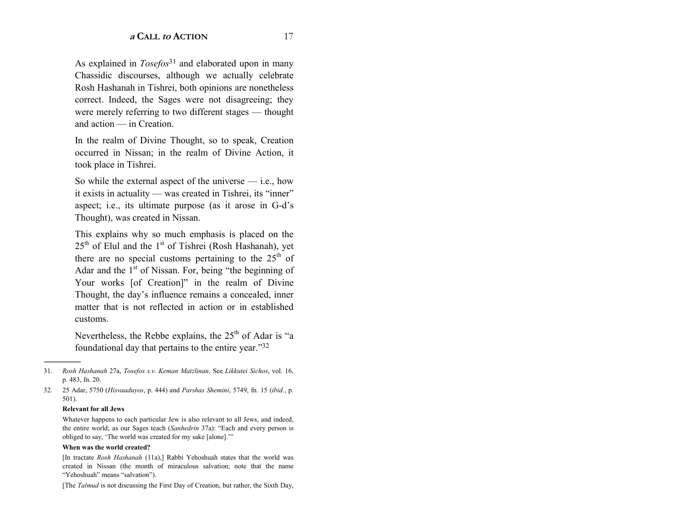As explained in *Tosefos*<sup>31</sup> and elaborated upon in many Chassidic discourses, although we actually celebrate Rosh Hashanah in Tishrei, both opinions are nonetheless correct. Indeed, the Sages were not disagreeing; they were merely referring to two different stages — thought and action — in Creation.

In the realm of Divine Thought, so to speak, Creation occurred in Nissan; in the realm of Divine Action, it took place in Tishrei.

So while the external aspect of the universe  $-$  i.e., how it exists in actuality — was created in Tishrei, its "inner" aspect; i.e., its ultimate purpose (as it arose in G-d's Thought), was created in Nissan.

This explains why so much emphasis is placed on the  $25<sup>th</sup>$  of Elul and the 1<sup>st</sup> of Tishrei (Rosh Hashanah), yet there are no special customs pertaining to the 25<sup>th</sup> of Adar and the  $1<sup>st</sup>$  of Nissan. For, being "the beginning of Your works [of Creation]" in the realm of Divine Thought, the day's influence remains a concealed, inner matter that is not reflected in action or in established customs.

Nevertheless, the Rebbe explains, the  $25<sup>th</sup>$  of Adar is "a foundational day that pertains to the entire year."32

#### **Relevant for all Jews**

#### When was the world created?

[The Talmud is not discussing the First Day of Creation, but rather, the Sixth Day,

 $31$ Rosh Hashanah 27a, Tosefos s.v. Keman Matzlinan. See Likkutei Sichos, vol. 16, p. 483, fn. 20.

<sup>32.</sup> 25 Adar, 5750 (Hisvaaduyos, p. 444) and Parshas Shemini, 5749, fn. 15 (ibid., p.  $501$ ).

Whatever happens to each particular Jew is also relevant to all Jews, and indeed, the entire world; as our Sages teach (Sanhedrin 37a): "Each and every person is obliged to say, 'The world was created for my sake [alone].""

<sup>[</sup>In tractate Rosh Hashanah (11a),] Rabbi Yehoshuah states that the world was created in Nissan (the month of miraculous salvation; note that the name "Yehoshuah" means "salvation").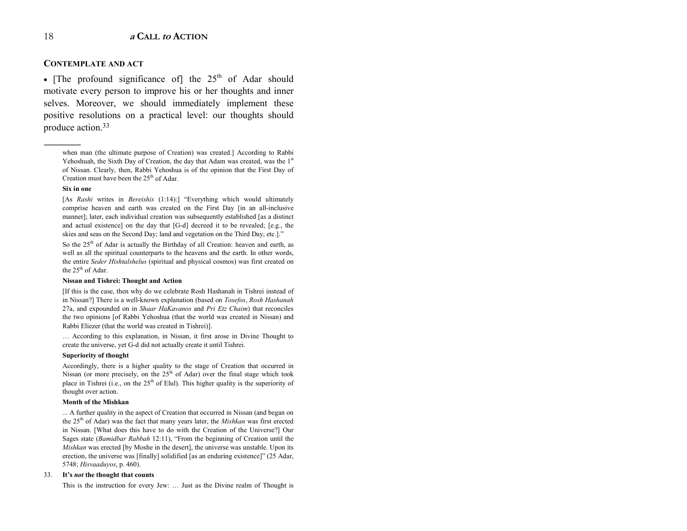#### **CONTEMPLATE AND ACT**

• [The profound significance of] the  $25<sup>th</sup>$  of Adar should motivate every person to improve his or her thoughts and inner selves. Moreover, we should immediately implement these positive resolutions on a practical level: our thoughts should produce action.33

when man (the ultimate purpose of Creation) was created.] According to Rabbi Yehoshuah, the Sixth Day of Creation, the day that Adam was created, was the  $1<sup>st</sup>$ of Nissan. Clearly, then, Rabbi Yehoshua is of the opinion that the First Day of Creation must have been the  $25<sup>th</sup>$  of Adar.

#### **Six in one**

------------------------------------------------

[As *Rashi* writes in *Bereishis* (1:14):] "Everything which would ultimately comprise heaven and earth was created on the First Day [in an all-inclusive manner]; later, each individual creation was subsequently established [as a distinct and actual existence] on the day that [G-d] decreed it to be revealed; [e.g., the skies and seas on the Second Day; land and vegetation on the Third Day, etc.]."

So the  $25<sup>th</sup>$  of Adar is actually the Birthday of all Creation: heaven and earth, as well as all the spiritual counterparts to the heavens and the earth. In other words, the entire *Seder Hishtalshelus* (spiritual and physical cosmos) was first created on the  $25<sup>th</sup>$  of Adar.

#### **Nissan and Tishrei: Thought and Action**

[If this is the case, then why do we celebrate Rosh Hashanah in Tishrei instead of in Nissan?] There is a well-known explanation (based on *Tosefos*, *Rosh Hashanah* 27a, and expounded on in *Shaar HaKavanos* and *Pri Etz Chaim*) that reconciles the two opinions [of Rabbi Yehoshua (that the world was created in Nissan) and Rabbi Eliezer (that the world was created in Tishrei)].

... According to this explanation, in Nissan, it first arose in Divine Thought to create the universe, yet G-d did not actually create it until Tishrei.

#### **Superiority of thought**

Accordingly, there is a higher quality to the stage of Creation that occurred in Nissan (or more precisely, on the  $25<sup>th</sup>$  of Adar) over the final stage which took place in Tishrei (i.e., on the  $25<sup>th</sup>$  of Elul). This higher quality is the superiority of thought over action.

#### **Month of the Mishkan**

... A further quality in the aspect of Creation that occurred in Nissan (and began on the 25<sup>th</sup> of Adar) was the fact that many years later, the *Mishkan* was first erected in Nissan. [What does this have to do with the Creation of the Universe?] Our Sages state (*Bamidbar Rabbah* 12:11), "From the beginning of Creation until the *Mishkan* was erected [by Moshe in the desert], the universe was unstable. Upon its erection, the universe was [finally] solidified [as an enduring existence]" (25 Adar, 5748; *Hisvaaduyos*, p. 460).

#### 33. **Itís** *not* **the thought that counts**

This is the instruction for every Jew: ... Just as the Divine realm of Thought is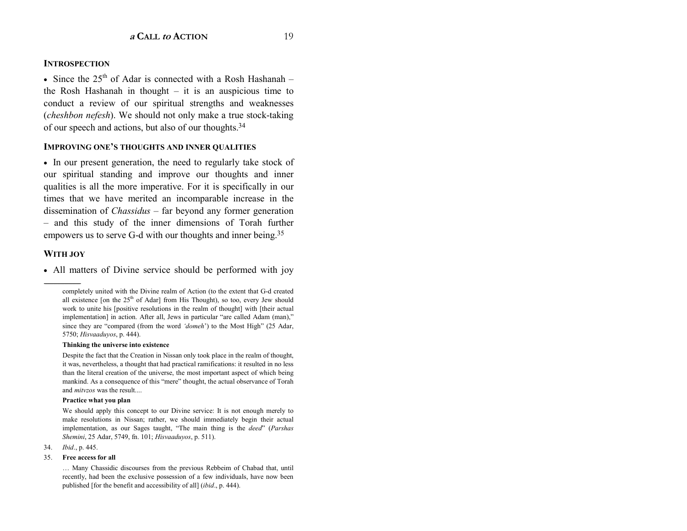#### **INTROSPECTION**

• Since the  $25^{th}$  of Adar is connected with a Rosh Hashanah – the Rosh Hashanah in thought  $-$  it is an auspicious time to conduct a review of our spiritual strengths and weaknesses (cheshbon nefesh). We should not only make a true stock-taking of our speech and actions, but also of our thoughts.<sup>34</sup>

#### **IMPROVING ONE'S THOUGHTS AND INNER OUALITIES**

• In our present generation, the need to regularly take stock of our spiritual standing and improve our thoughts and inner qualities is all the more imperative. For it is specifically in our times that we have merited an incomparable increase in the dissemination of *Chassidus* – far beyond any former generation - and this study of the inner dimensions of Torah further empowers us to serve G-d with our thoughts and inner being.<sup>35</sup>

#### **WITH JOY**

• All matters of Divine service should be performed with joy

#### Thinking the universe into existence

Despite the fact that the Creation in Nissan only took place in the realm of thought, it was, nevertheless, a thought that had practical ramifications: it resulted in no less than the literal creation of the universe, the most important aspect of which being mankind. As a consequence of this "mere" thought, the actual observance of Torah and *mitvzos* was the result....

#### Practice what you plan

We should apply this concept to our Divine service: It is not enough merely to make resolutions in Nissan; rather, we should immediately begin their actual implementation, as our Sages taught, "The main thing is the deed" (Parshas Shemini, 25 Adar, 5749, fn. 101; Hisvaaduvos, p. 511).

34. *Ibid.*, p. 445.

#### $35.$ Free access for all

... Many Chassidic discourses from the previous Rebbeim of Chabad that, until recently, had been the exclusive possession of a few individuals, have now been published [for the benefit and accessibility of all] (ibid., p. 444).

completely united with the Divine realm of Action (to the extent that G-d created all existence [on the 25<sup>th</sup> of Adar] from His Thought), so too, every Jew should work to unite his [positive resolutions in the realm of thought] with [their actual implementation] in action. After all, Jews in particular "are called Adam (man)," since they are "compared (from the word 'domeh') to the Most High" (25 Adar, 5750; Hisvaaduyos, p. 444).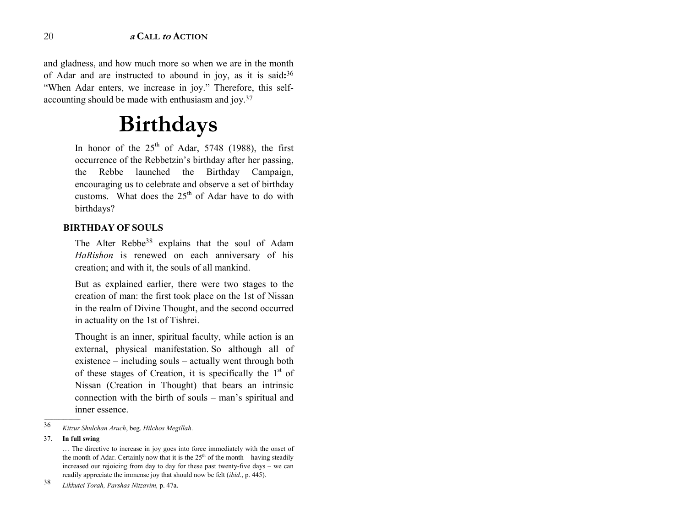and gladness, and how much more so when we are in the month of Adar and are instructed to abound in joy, as it is said**:**<sup>36</sup> "When Adar enters, we increase in joy." Therefore, this selfaccounting should be made with enthusiasm and joy.37

## **Birthdays**

In honor of the  $25<sup>th</sup>$  of Adar, 5748 (1988), the first occurrence of the Rebbetzin's birthday after her passing, the Rebbe launched the Birthday Campaign, encouraging us to celebrate and observe a set of birthday customs. What does the  $25<sup>th</sup>$  of Adar have to do with birthdays?

#### **BIRTHDAY OF SOULS**

The Alter Rebbe<sup>38</sup> explains that the soul of Adam *HaRishon* is renewed on each anniversary of his creation; and with it, the souls of all mankind.

But as explained earlier, there were two stages to the creation of man: the first took place on the 1st of Nissan in the realm of Divine Thought, and the second occurred in actuality on the 1st of Tishrei.

Thought is an inner, spiritual faculty, while action is an external, physical manifestation. So although all of existence  $-$  including souls  $-$  actually went through both of these stages of Creation, it is specifically the  $1<sup>st</sup>$  of Nissan (Creation in Thought) that bears an intrinsic connection with the birth of souls  $-$  man's spiritual and inner essence.

37. **In full swing** 

------------------------------------------------

<sup>36</sup>*Kitzur Shulchan Aruch*, beg. *Hilchos Megillah*.

 $\ldots$  The directive to increase in joy goes into force immediately with the onset of the month of Adar. Certainly now that it is the  $25<sup>th</sup>$  of the month – having steadily increased our rejoicing from day to day for these past twenty-five days  $-$  we can readily appreciate the immense joy that should now be felt (*ibid*., p. 445).

<sup>38</sup>*Likkutei Torah, Parshas Nitzavim,* p. 47a.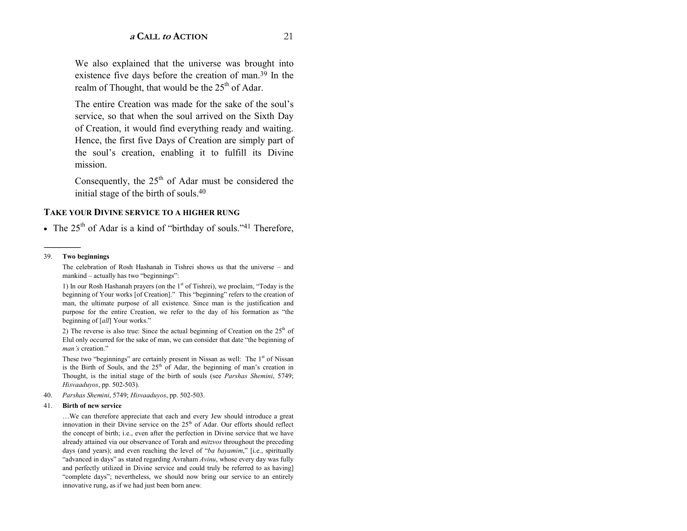We also explained that the universe was brought into existence five days before the creation of man.<sup>39</sup> In the realm of Thought, that would be the 25<sup>th</sup> of Adar.

The entire Creation was made for the sake of the soul's service, so that when the soul arrived on the Sixth Day of Creation, it would find everything ready and waiting. Hence, the first five Days of Creation are simply part of the soul's creation, enabling it to fulfill its Divine mission

Consequently, the  $25<sup>th</sup>$  of Adar must be considered the initial stage of the birth of souls.<sup>40</sup>

#### **TAKE YOUR DIVINE SERVICE TO A HIGHER RUNG**

• The  $25<sup>th</sup>$  of Adar is a kind of "birthday of souls."<sup>41</sup> Therefore,

#### 39. Two beginnings

The celebration of Rosh Hashanah in Tishrei shows us that the universe - and mankind – actually has two "beginnings":

1) In our Rosh Hashanah prayers (on the 1<sup>st</sup> of Tishrei), we proclaim, "Today is the beginning of Your works [of Creation]." This "beginning" refers to the creation of man, the ultimate purpose of all existence. Since man is the justification and purpose for the entire Creation, we refer to the day of his formation as "the beginning of [all] Your works."

2) The reverse is also true: Since the actual beginning of Creation on the  $25<sup>th</sup>$  of Elul only occurred for the sake of man, we can consider that date "the beginning of man's creation."

These two "beginnings" are certainly present in Nissan as well: The 1<sup>st</sup> of Nissan is the Birth of Souls, and the 25<sup>th</sup> of Adar, the beginning of man's creation in Thought, is the initial stage of the birth of souls (see Parshas Shemini, 5749; Hisvaaduyos, pp. 502-503).

40. Parshas Shemini, 5749; Hisvaaduyos, pp. 502-503.

#### $41.$ Birth of new service

...We can therefore appreciate that each and every Jew should introduce a great innovation in their Divine service on the 25<sup>th</sup> of Adar. Our efforts should reflect the concept of birth; i.e., even after the perfection in Divine service that we have already attained via our observance of Torah and *mitzvos* throughout the preceding days (and years); and even reaching the level of "ba bayamim," [i.e., spiritually "advanced in days" as stated regarding Avraham Avinu, whose every day was fully and perfectly utilized in Divine service and could truly be referred to as having "complete days"; nevertheless, we should now bring our service to an entirely innovative rung, as if we had just been born anew.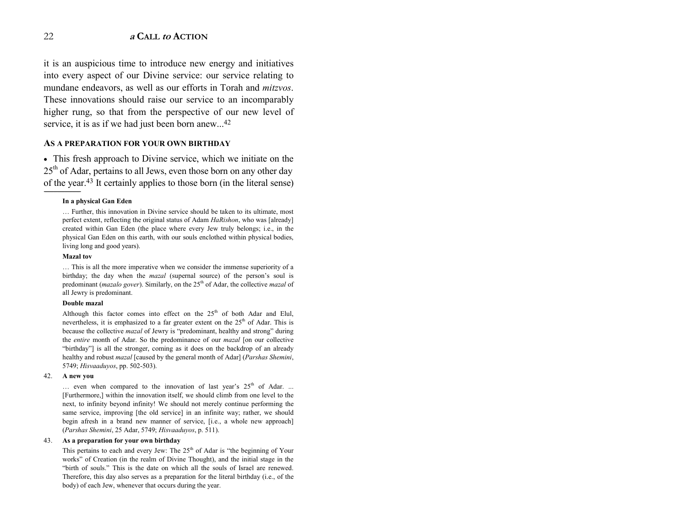it is an auspicious time to introduce new energy and initiatives into every aspect of our Divine service: our service relating to mundane endeavors, as well as our efforts in Torah and *mitzvos*. These innovations should raise our service to an incomparably higher rung, so that from the perspective of our new level of service, it is as if we had just been born anew...<sup>42</sup>

#### **AS A PREPARATION FOR YOUR OWN BIRTHDAY**

• This fresh approach to Divine service, which we initiate on the 25<sup>th</sup> of Adar, pertains to all Jews, even those born on any other day of the year.43 It certainly applies to those born (in the literal sense)

#### **In a physical Gan Eden**

 $\ldots$  Further, this innovation in Divine service should be taken to its ultimate, most perfect extent, reflecting the original status of Adam *HaRishon*, who was [already] created within Gan Eden (the place where every Jew truly belongs; i.e., in the physical Gan Eden on this earth, with our souls enclothed within physical bodies, living long and good years).

#### **Mazal tov**

------------------------------------------------

 $\ldots$  This is all the more imperative when we consider the immense superiority of a birthday; the day when the *mazal* (supernal source) of the person's soul is predominant (*mazalo gover*). Similarly, on the 25<sup>th</sup> of Adar, the collective *mazal* of all Jewry is predominant.

#### **Double mazal**

Although this factor comes into effect on the  $25<sup>th</sup>$  of both Adar and Elul, nevertheless, it is emphasized to a far greater extent on the  $25<sup>th</sup>$  of Adar. This is because the collective *mazal* of Jewry is "predominant, healthy and strong" during the *entire* month of Adar. So the predominance of our *mazal* [on our collective "birthday"] is all the stronger, coming as it does on the backdrop of an already healthy and robust *mazal* [caused by the general month of Adar] (*Parshas Shemini*, 5749; *Hisvaaduyos*, pp. 502-503).

#### 42. **A new you**

 $\ldots$  even when compared to the innovation of last year's 25<sup>th</sup> of Adar. ... [Furthermore,] within the innovation itself, we should climb from one level to the next, to infinity beyond infinity! We should not merely continue performing the same service, improving [the old service] in an infinite way; rather, we should begin afresh in a brand new manner of service, [i.e., a whole new approach] (*Parshas Shemini*, 25 Adar, 5749; *Hisvaaduyos*, p. 511).

#### 43. **As a preparation for your own birthday**

This pertains to each and every Jew: The  $25<sup>th</sup>$  of Adar is "the beginning of Your works" of Creation (in the realm of Divine Thought), and the initial stage in the ìbirth of souls.î This is the date on which all the souls of Israel are renewed. Therefore, this day also serves as a preparation for the literal birthday (i.e., of the body) of each Jew, whenever that occurs during the year.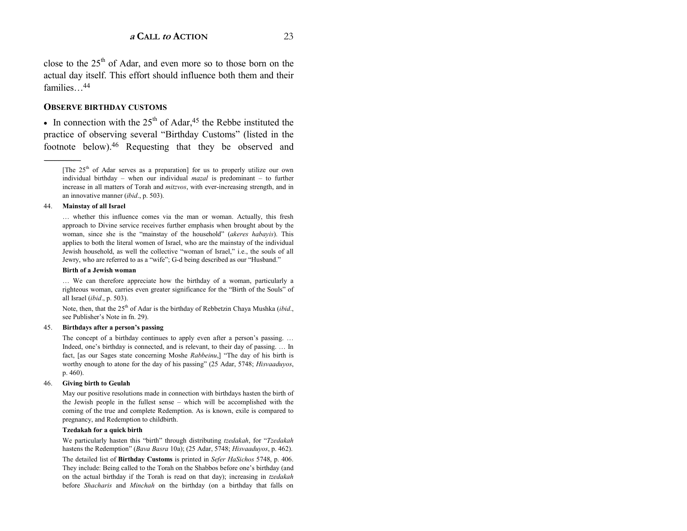close to the  $25<sup>th</sup>$  of Adar, and even more so to those born on the actual day itself. This effort should influence both them and their families $\frac{44}{4}$ 

#### **OBSERVE BIRTHDAY CUSTOMS**

• In connection with the  $25<sup>th</sup>$  of Adar,<sup>45</sup> the Rebbe instituted the practice of observing several "Birthday Customs" (listed in the footnote below).46 Requesting that they be observed and

#### 44. **Mainstay of all Israel**

------------------------------------------------

... whether this influence comes via the man or woman. Actually, this fresh approach to Divine service receives further emphasis when brought about by the woman, since she is the "mainstay of the household" (*akeres habayis*). This applies to both the literal women of Israel, who are the mainstay of the individual Jewish household, as well the collective "woman of Israel," i.e., the souls of all Jewry, who are referred to as a "wife"; G-d being described as our "Husband."

#### **Birth of a Jewish woman**

... We can therefore appreciate how the birthday of a woman, particularly a righteous woman, carries even greater significance for the "Birth of the Souls" of all Israel (*ibid*., p. 503).

Note, then, that the 25<sup>th</sup> of Adar is the birthday of Rebbetzin Chaya Mushka (*ibid.*, see Publisher's Note in fn. 29).

#### 45. **Birthdays after a personís passing**

The concept of a birthday continues to apply even after a person's passing. ... Indeed, one's birthday is connected, and is relevant, to their day of passing.  $\dots$  In fact, [as our Sages state concerning Moshe *Rabbeinu*,] "The day of his birth is worthy enough to atone for the day of his passing" (25 Adar, 5748; *Hisvaaduyos*, p. 460).

#### 46. **Giving birth to Geulah**

May our positive resolutions made in connection with birthdays hasten the birth of the Jewish people in the fullest sense  $-$  which will be accomplished with the coming of the true and complete Redemption. As is known, exile is compared to pregnancy, and Redemption to childbirth.

#### **Tzedakah for a quick birth**

We particularly hasten this "birth" through distributing *tzedakah*, for "Tzedakah hastens the Redemption" (*Bava Basra* 10a); (25 Adar, 5748; *Hisvaaduyos*, p. 462).

The detailed list of **Birthday Customs** is printed in *Sefer HaSichos* 5748, p. 406. They include: Being called to the Torah on the Shabbos before one's birthday (and on the actual birthday if the Torah is read on that day); increasing in *tzedakah* before *Shacharis* and *Minchah* on the birthday (on a birthday that falls on

<sup>[</sup>The  $25<sup>th</sup>$  of Adar serves as a preparation] for us to properly utilize our own individual birthday – when our individual  $maxal$  is predominant – to further increase in all matters of Torah and *mitzvos*, with ever-increasing strength, and in an innovative manner (*ibid*., p. 503).